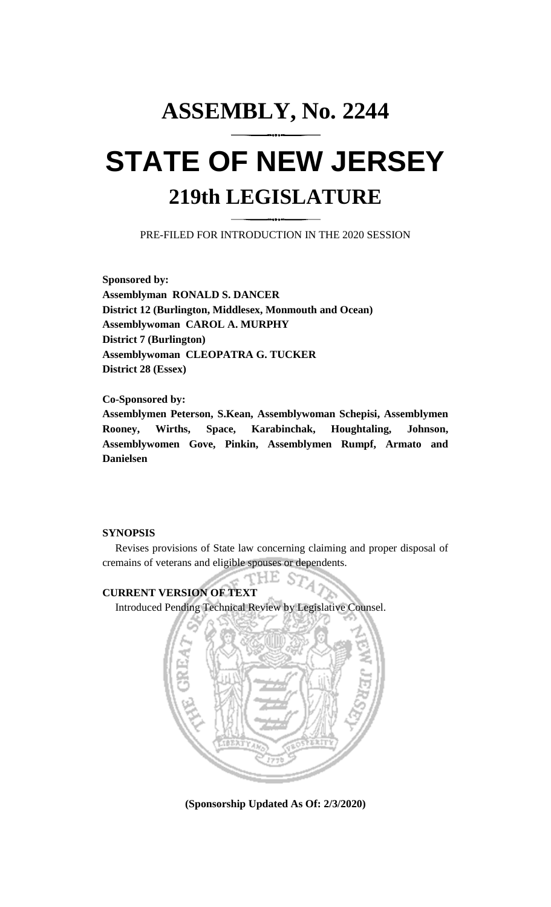# **ASSEMBLY, No. 2244 STATE OF NEW JERSEY 219th LEGISLATURE**

PRE-FILED FOR INTRODUCTION IN THE 2020 SESSION

**Sponsored by: Assemblyman RONALD S. DANCER District 12 (Burlington, Middlesex, Monmouth and Ocean) Assemblywoman CAROL A. MURPHY District 7 (Burlington) Assemblywoman CLEOPATRA G. TUCKER District 28 (Essex)**

**Co-Sponsored by:**

**Assemblymen Peterson, S.Kean, Assemblywoman Schepisi, Assemblymen Rooney, Wirths, Space, Karabinchak, Houghtaling, Johnson, Assemblywomen Gove, Pinkin, Assemblymen Rumpf, Armato and Danielsen**

## **SYNOPSIS**

Revises provisions of State law concerning claiming and proper disposal of cremains of veterans and eligible spouses or dependents.

THE S7

## **CURRENT VERSION OF TEXT**

Introduced Pending Technical Review by Legislative Counsel.



**(Sponsorship Updated As Of: 2/3/2020)**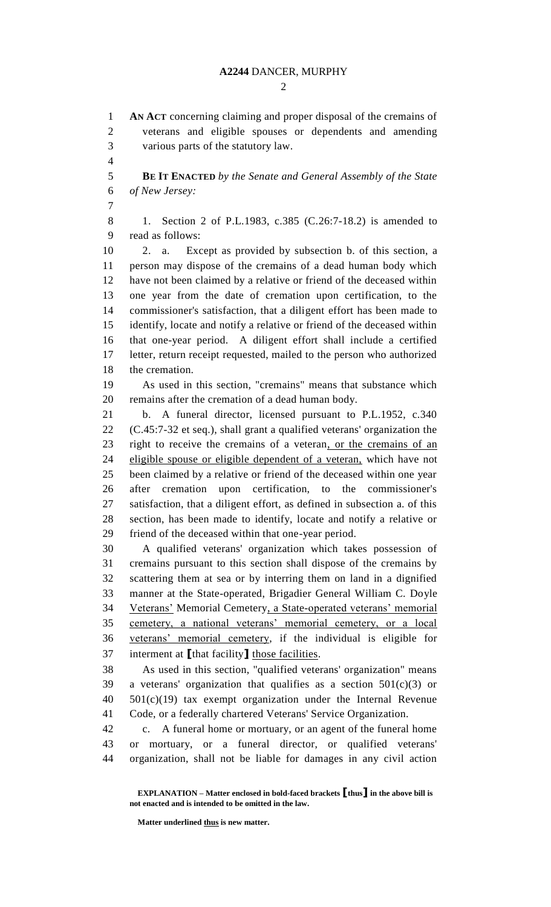$\mathcal{D}_{\mathcal{L}}$ 

 **AN ACT** concerning claiming and proper disposal of the cremains of veterans and eligible spouses or dependents and amending various parts of the statutory law. **BE IT ENACTED** *by the Senate and General Assembly of the State of New Jersey:* 1. Section 2 of P.L.1983, c.385 (C.26:7-18.2) is amended to read as follows: 2. a. Except as provided by subsection b. of this section, a person may dispose of the cremains of a dead human body which have not been claimed by a relative or friend of the deceased within one year from the date of cremation upon certification, to the commissioner's satisfaction, that a diligent effort has been made to identify, locate and notify a relative or friend of the deceased within that one-year period. A diligent effort shall include a certified letter, return receipt requested, mailed to the person who authorized the cremation. As used in this section, "cremains" means that substance which remains after the cremation of a dead human body. b. A funeral director, licensed pursuant to P.L.1952, c.340 (C.45:7-32 et seq.), shall grant a qualified veterans' organization the right to receive the cremains of a veteran, or the cremains of an eligible spouse or eligible dependent of a veteran, which have not been claimed by a relative or friend of the deceased within one year after cremation upon certification, to the commissioner's satisfaction, that a diligent effort, as defined in subsection a. of this section, has been made to identify, locate and notify a relative or friend of the deceased within that one-year period. A qualified veterans' organization which takes possession of cremains pursuant to this section shall dispose of the cremains by scattering them at sea or by interring them on land in a dignified manner at the State-operated, Brigadier General William C. Doyle Veterans' Memorial Cemetery, a State-operated veterans' memorial cemetery, a national veterans' memorial cemetery, or a local veterans' memorial cemetery, if the individual is eligible for interment at **[**that facility**]** those facilities. As used in this section, "qualified veterans' organization" means 39 a veterans' organization that qualifies as a section  $501(c)(3)$  or 501(c)(19) tax exempt organization under the Internal Revenue Code, or a federally chartered Veterans' Service Organization. c. A funeral home or mortuary, or an agent of the funeral home or mortuary, or a funeral director, or qualified veterans' organization, shall not be liable for damages in any civil action

**Matter underlined thus is new matter.**

**EXPLANATION – Matter enclosed in bold-faced brackets [thus] in the above bill is not enacted and is intended to be omitted in the law.**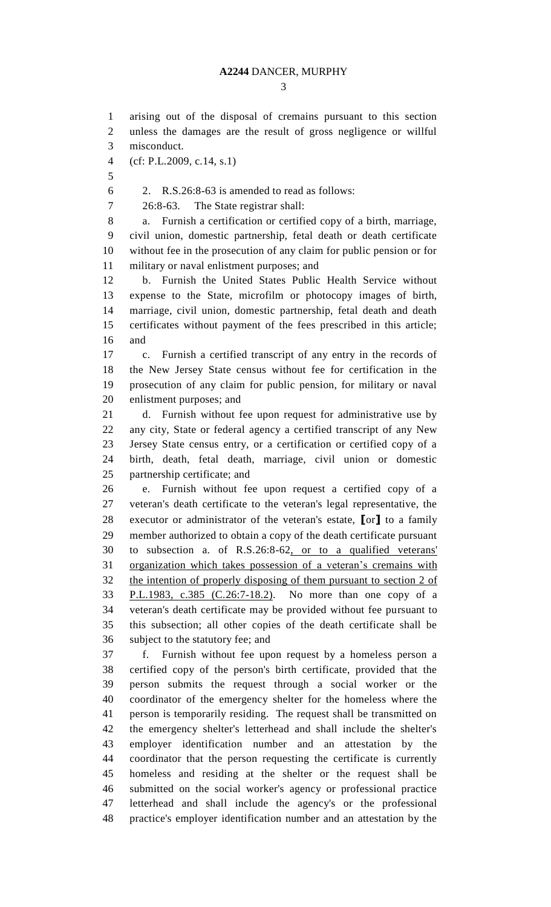### **A2244** DANCER, MURPHY

#### 

 arising out of the disposal of cremains pursuant to this section unless the damages are the result of gross negligence or willful misconduct. (cf: P.L.2009, c.14, s.1)  $6 \qquad 2. \quad R.S.26:8-63$  is amended to read as follows: 26:8-63. The State registrar shall: a. Furnish a certification or certified copy of a birth, marriage, civil union, domestic partnership, fetal death or death certificate without fee in the prosecution of any claim for public pension or for military or naval enlistment purposes; and b. Furnish the United States Public Health Service without expense to the State, microfilm or photocopy images of birth, marriage, civil union, domestic partnership, fetal death and death certificates without payment of the fees prescribed in this article; and c. Furnish a certified transcript of any entry in the records of the New Jersey State census without fee for certification in the prosecution of any claim for public pension, for military or naval enlistment purposes; and d. Furnish without fee upon request for administrative use by any city, State or federal agency a certified transcript of any New Jersey State census entry, or a certification or certified copy of a birth, death, fetal death, marriage, civil union or domestic partnership certificate; and e. Furnish without fee upon request a certified copy of a veteran's death certificate to the veteran's legal representative, the executor or administrator of the veteran's estate, **[**or**]** to a family member authorized to obtain a copy of the death certificate pursuant to subsection a. of R.S.26:8-62, or to a qualified veterans' organization which takes possession of a veteran's cremains with the intention of properly disposing of them pursuant to section 2 of P.L.1983, c.385 (C.26:7-18.2). No more than one copy of a veteran's death certificate may be provided without fee pursuant to this subsection; all other copies of the death certificate shall be subject to the statutory fee; and f. Furnish without fee upon request by a homeless person a certified copy of the person's birth certificate, provided that the person submits the request through a social worker or the coordinator of the emergency shelter for the homeless where the person is temporarily residing. The request shall be transmitted on the emergency shelter's letterhead and shall include the shelter's employer identification number and an attestation by the coordinator that the person requesting the certificate is currently homeless and residing at the shelter or the request shall be submitted on the social worker's agency or professional practice letterhead and shall include the agency's or the professional practice's employer identification number and an attestation by the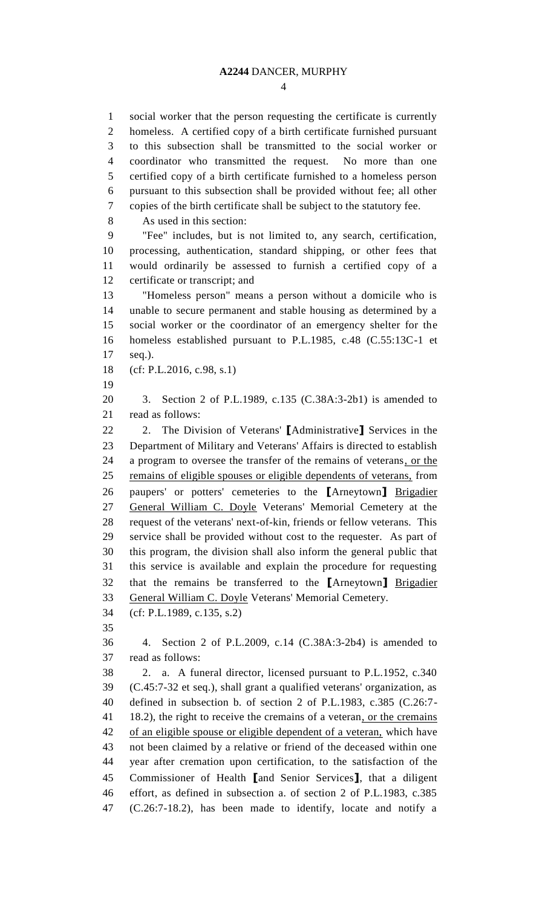social worker that the person requesting the certificate is currently homeless. A certified copy of a birth certificate furnished pursuant to this subsection shall be transmitted to the social worker or coordinator who transmitted the request. No more than one certified copy of a birth certificate furnished to a homeless person pursuant to this subsection shall be provided without fee; all other copies of the birth certificate shall be subject to the statutory fee. As used in this section: "Fee" includes, but is not limited to, any search, certification, processing, authentication, standard shipping, or other fees that would ordinarily be assessed to furnish a certified copy of a certificate or transcript; and "Homeless person" means a person without a domicile who is unable to secure permanent and stable housing as determined by a social worker or the coordinator of an emergency shelter for the homeless established pursuant to P.L.1985, c.48 (C.55:13C-1 et seq.). (cf: P.L.2016, c.98, s.1) 3. Section 2 of P.L.1989, c.135 (C.38A:3-2b1) is amended to read as follows: 2. The Division of Veterans' **[**Administrative**]** Services in the Department of Military and Veterans' Affairs is directed to establish a program to oversee the transfer of the remains of veterans, or the remains of eligible spouses or eligible dependents of veterans, from paupers' or potters' cemeteries to the **[**Arneytown**]** Brigadier 27 General William C. Doyle Veterans' Memorial Cemetery at the request of the veterans' next-of-kin, friends or fellow veterans. This service shall be provided without cost to the requester. As part of this program, the division shall also inform the general public that this service is available and explain the procedure for requesting that the remains be transferred to the **[**Arneytown**]** Brigadier General William C. Doyle Veterans' Memorial Cemetery. (cf: P.L.1989, c.135, s.2) 4. Section 2 of P.L.2009, c.14 (C.38A:3-2b4) is amended to read as follows: 2. a. A funeral director, licensed pursuant to P.L.1952, c.340 (C.45:7-32 et seq.), shall grant a qualified veterans' organization, as defined in subsection b. of section 2 of P.L.1983, c.385 (C.26:7- 41 18.2), the right to receive the cremains of a veteran, or the cremains 42 of an eligible spouse or eligible dependent of a veteran, which have not been claimed by a relative or friend of the deceased within one year after cremation upon certification, to the satisfaction of the Commissioner of Health **[**and Senior Services**]**, that a diligent effort, as defined in subsection a. of section 2 of P.L.1983, c.385 (C.26:7-18.2), has been made to identify, locate and notify a